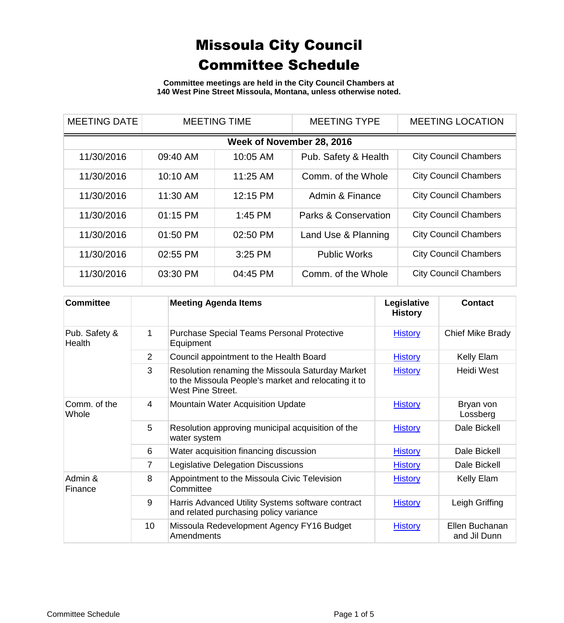**Committee meetings are held in the City Council Chambers at 140 West Pine Street Missoula, Montana, unless otherwise noted.**

| <b>MEETING DATE</b>       | <b>MEETING TIME</b> |           | <b>MEETING TYPE</b>  | <b>MEETING LOCATION</b>      |  |  |  |
|---------------------------|---------------------|-----------|----------------------|------------------------------|--|--|--|
| Week of November 28, 2016 |                     |           |                      |                              |  |  |  |
| 11/30/2016                | 09:40 AM            | 10:05 AM  | Pub. Safety & Health | <b>City Council Chambers</b> |  |  |  |
| 11/30/2016                | 10:10 AM            | 11:25 AM  | Comm. of the Whole   | <b>City Council Chambers</b> |  |  |  |
| 11/30/2016                | 11:30 AM            | 12:15 PM  | Admin & Finance      | <b>City Council Chambers</b> |  |  |  |
| 11/30/2016                | $01:15$ PM          | $1:45$ PM | Parks & Conservation | <b>City Council Chambers</b> |  |  |  |
| 11/30/2016                | 01:50 PM            | 02:50 PM  | Land Use & Planning  | <b>City Council Chambers</b> |  |  |  |
| 11/30/2016                | 02:55 PM            | $3:25$ PM | <b>Public Works</b>  | <b>City Council Chambers</b> |  |  |  |
| 11/30/2016                | 03:30 PM            | 04:45 PM  | Comm. of the Whole   | <b>City Council Chambers</b> |  |  |  |

| <b>Committee</b>        |                | <b>Meeting Agenda Items</b>                                                                                                   | Legislative<br><b>History</b> | <b>Contact</b>                 |
|-------------------------|----------------|-------------------------------------------------------------------------------------------------------------------------------|-------------------------------|--------------------------------|
| Pub. Safety &<br>Health | 1              | <b>Purchase Special Teams Personal Protective</b><br>Equipment                                                                | <b>History</b>                | Chief Mike Brady               |
|                         | $\overline{2}$ | Council appointment to the Health Board                                                                                       | <b>History</b>                | Kelly Elam                     |
|                         | 3              | Resolution renaming the Missoula Saturday Market<br>to the Missoula People's market and relocating it to<br>West Pine Street. | <b>History</b>                | Heidi West                     |
| Comm. of the<br>Whole   | 4              | <b>Mountain Water Acquisition Update</b>                                                                                      | <b>History</b>                | Bryan von<br>Lossberg          |
|                         | 5              | Resolution approving municipal acquisition of the<br>water system                                                             | <b>History</b>                | Dale Bickell                   |
|                         | 6              | Water acquisition financing discussion                                                                                        | <b>History</b>                | Dale Bickell                   |
|                         | 7              | Legislative Delegation Discussions                                                                                            | <b>History</b>                | Dale Bickell                   |
| Admin &<br>Finance      | 8              | Appointment to the Missoula Civic Television<br>Committee                                                                     | <b>History</b>                | Kelly Elam                     |
|                         | 9              | Harris Advanced Utility Systems software contract<br>and related purchasing policy variance                                   | <b>History</b>                | Leigh Griffing                 |
|                         | 10             | Missoula Redevelopment Agency FY16 Budget<br>Amendments                                                                       | <b>History</b>                | Ellen Buchanan<br>and Jil Dunn |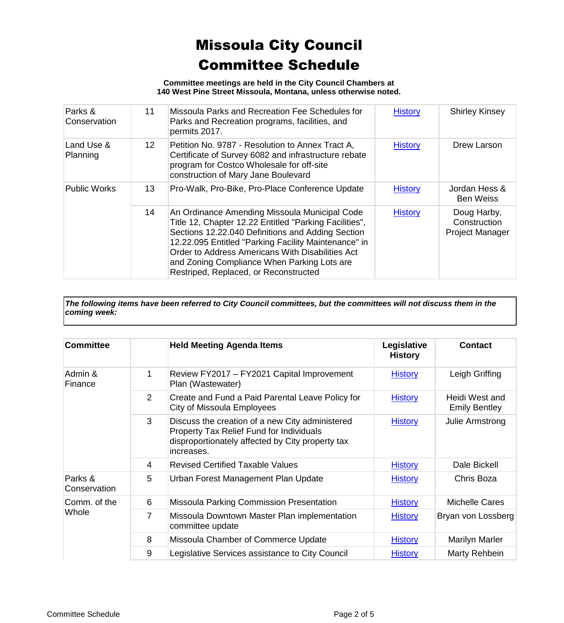**Committee meetings are held in the City Council Chambers at 140 West Pine Street Missoula, Montana, unless otherwise noted.**

| Parks &<br>Conservation | 11              | Missoula Parks and Recreation Fee Schedules for<br>Parks and Recreation programs, facilities, and                                                                                                                                                                                                                                                                | <b>History</b> | <b>Shirley Kinsey</b>                                 |
|-------------------------|-----------------|------------------------------------------------------------------------------------------------------------------------------------------------------------------------------------------------------------------------------------------------------------------------------------------------------------------------------------------------------------------|----------------|-------------------------------------------------------|
|                         |                 | permits 2017.                                                                                                                                                                                                                                                                                                                                                    |                |                                                       |
| Land Use &<br>Planning  | 12 <sup>2</sup> | Petition No. 9787 - Resolution to Annex Tract A.<br>Certificate of Survey 6082 and infrastructure rebate<br>program for Costco Wholesale for off-site<br>construction of Mary Jane Boulevard                                                                                                                                                                     | <b>History</b> | Drew Larson                                           |
| <b>Public Works</b>     | 13              | Pro-Walk, Pro-Bike, Pro-Place Conference Update                                                                                                                                                                                                                                                                                                                  | <b>History</b> | Jordan Hess &<br><b>Ben Weiss</b>                     |
|                         | 14              | An Ordinance Amending Missoula Municipal Code<br>Title 12, Chapter 12.22 Entitled "Parking Facilities",<br>Sections 12.22.040 Definitions and Adding Section<br>12.22.095 Entitled "Parking Facility Maintenance" in<br>Order to Address Americans With Disabilities Act<br>and Zoning Compliance When Parking Lots are<br>Restriped, Replaced, or Reconstructed | <b>History</b> | Doug Harby,<br>Construction<br><b>Project Manager</b> |

*The following items have been referred to City Council committees, but the committees will not discuss them in the coming week:*

| <b>Committee</b>             |                | <b>Held Meeting Agenda Items</b>                                                                                                                              | Legislative<br><b>History</b> | <b>Contact</b>                         |
|------------------------------|----------------|---------------------------------------------------------------------------------------------------------------------------------------------------------------|-------------------------------|----------------------------------------|
| Admin &<br>Finance           | 1              | Review FY2017 - FY2021 Capital Improvement<br>Plan (Wastewater)                                                                                               | <b>History</b>                | Leigh Griffing                         |
|                              | $\overline{2}$ | Create and Fund a Paid Parental Leave Policy for<br>City of Missoula Employees                                                                                | <b>History</b>                | Heidi West and<br><b>Emily Bentley</b> |
|                              | 3              | Discuss the creation of a new City administered<br>Property Tax Relief Fund for Individuals<br>disproportionately affected by City property tax<br>increases. | <b>History</b>                | Julie Armstrong                        |
|                              | 4              | <b>Revised Certified Taxable Values</b>                                                                                                                       | <b>History</b>                | Dale Bickell                           |
| Parks &<br>Conservation      | 5              | Urban Forest Management Plan Update                                                                                                                           | <b>History</b>                | Chris Boza                             |
| Comm. of the<br><b>Whole</b> | 6              | <b>Missoula Parking Commission Presentation</b>                                                                                                               | <b>History</b>                | <b>Michelle Cares</b>                  |
|                              | 7              | Missoula Downtown Master Plan implementation<br>committee update                                                                                              | <b>History</b>                | Bryan von Lossberg                     |
|                              | 8              | Missoula Chamber of Commerce Update                                                                                                                           | <b>History</b>                | Marilyn Marler                         |
|                              | 9              | Legislative Services assistance to City Council                                                                                                               | <b>History</b>                | Marty Rehbein                          |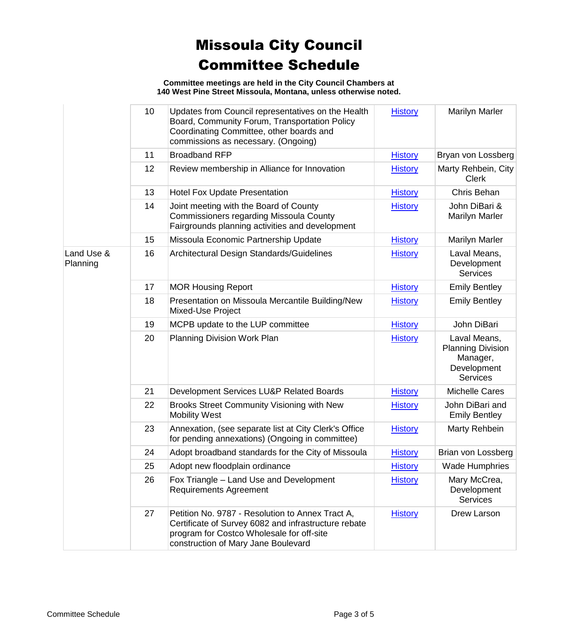**Committee meetings are held in the City Council Chambers at 140 West Pine Street Missoula, Montana, unless otherwise noted.**

|                        | 10 | Updates from Council representatives on the Health<br>Board, Community Forum, Transportation Policy<br>Coordinating Committee, other boards and<br>commissions as necessary. (Ongoing)       | <b>History</b> | <b>Marilyn Marler</b>                                                                  |
|------------------------|----|----------------------------------------------------------------------------------------------------------------------------------------------------------------------------------------------|----------------|----------------------------------------------------------------------------------------|
|                        | 11 | <b>Broadband RFP</b>                                                                                                                                                                         | <b>History</b> | Bryan von Lossberg                                                                     |
|                        | 12 | Review membership in Alliance for Innovation                                                                                                                                                 | <b>History</b> | Marty Rehbein, City<br><b>Clerk</b>                                                    |
|                        | 13 | <b>Hotel Fox Update Presentation</b>                                                                                                                                                         | <b>History</b> | Chris Behan                                                                            |
|                        | 14 | Joint meeting with the Board of County<br><b>Commissioners regarding Missoula County</b><br>Fairgrounds planning activities and development                                                  | <b>History</b> | John DiBari &<br><b>Marilyn Marler</b>                                                 |
|                        | 15 | Missoula Economic Partnership Update                                                                                                                                                         | <b>History</b> | <b>Marilyn Marler</b>                                                                  |
| Land Use &<br>Planning | 16 | Architectural Design Standards/Guidelines                                                                                                                                                    | <b>History</b> | Laval Means,<br>Development<br><b>Services</b>                                         |
|                        | 17 | <b>MOR Housing Report</b>                                                                                                                                                                    | <b>History</b> | <b>Emily Bentley</b>                                                                   |
|                        | 18 | Presentation on Missoula Mercantile Building/New<br>Mixed-Use Project                                                                                                                        | <b>History</b> | <b>Emily Bentley</b>                                                                   |
|                        | 19 | MCPB update to the LUP committee                                                                                                                                                             | <b>History</b> | John DiBari                                                                            |
|                        | 20 | Planning Division Work Plan                                                                                                                                                                  | <b>History</b> | Laval Means,<br><b>Planning Division</b><br>Manager,<br>Development<br><b>Services</b> |
|                        | 21 | Development Services LU&P Related Boards                                                                                                                                                     | <b>History</b> | <b>Michelle Cares</b>                                                                  |
|                        | 22 | Brooks Street Community Visioning with New<br><b>Mobility West</b>                                                                                                                           | <b>History</b> | John DiBari and<br><b>Emily Bentley</b>                                                |
|                        | 23 | Annexation, (see separate list at City Clerk's Office<br>for pending annexations) (Ongoing in committee)                                                                                     | <b>History</b> | Marty Rehbein                                                                          |
|                        | 24 | Adopt broadband standards for the City of Missoula                                                                                                                                           | <b>History</b> | Brian von Lossberg                                                                     |
|                        | 25 | Adopt new floodplain ordinance                                                                                                                                                               | <b>History</b> | <b>Wade Humphries</b>                                                                  |
|                        | 26 | Fox Triangle - Land Use and Development<br><b>Requirements Agreement</b>                                                                                                                     | <b>History</b> | Mary McCrea,<br>Development<br><b>Services</b>                                         |
|                        | 27 | Petition No. 9787 - Resolution to Annex Tract A,<br>Certificate of Survey 6082 and infrastructure rebate<br>program for Costco Wholesale for off-site<br>construction of Mary Jane Boulevard | <b>History</b> | Drew Larson                                                                            |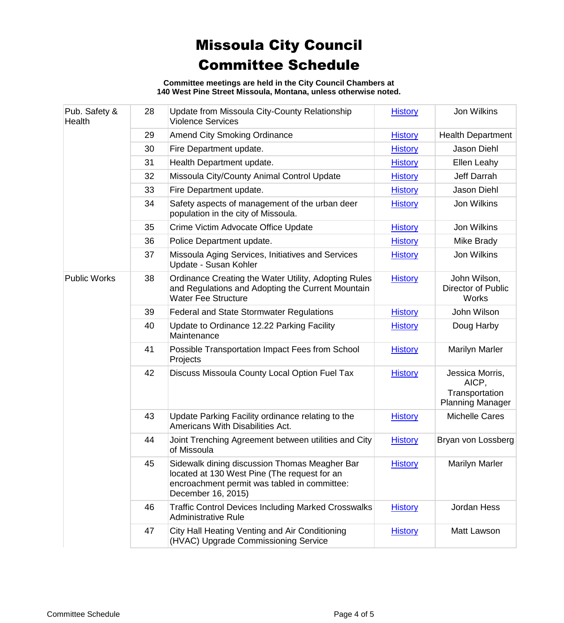**Committee meetings are held in the City Council Chambers at 140 West Pine Street Missoula, Montana, unless otherwise noted.**

| Pub. Safety &<br>Health | 28 | Update from Missoula City-County Relationship<br><b>Violence Services</b>                                                                                           | <b>History</b> | <b>Jon Wilkins</b>                                                    |
|-------------------------|----|---------------------------------------------------------------------------------------------------------------------------------------------------------------------|----------------|-----------------------------------------------------------------------|
|                         | 29 | <b>Amend City Smoking Ordinance</b>                                                                                                                                 | <b>History</b> | <b>Health Department</b>                                              |
|                         | 30 | Fire Department update.                                                                                                                                             | <b>History</b> | Jason Diehl                                                           |
|                         | 31 | Health Department update.                                                                                                                                           | <b>History</b> | Ellen Leahy                                                           |
|                         | 32 | Missoula City/County Animal Control Update                                                                                                                          | <b>History</b> | Jeff Darrah                                                           |
|                         | 33 | Fire Department update.                                                                                                                                             | <b>History</b> | Jason Diehl                                                           |
|                         | 34 | Safety aspects of management of the urban deer<br>population in the city of Missoula.                                                                               | <b>History</b> | Jon Wilkins                                                           |
|                         | 35 | Crime Victim Advocate Office Update                                                                                                                                 | <b>History</b> | Jon Wilkins                                                           |
|                         | 36 | Police Department update.                                                                                                                                           | <b>History</b> | Mike Brady                                                            |
|                         | 37 | Missoula Aging Services, Initiatives and Services<br>Update - Susan Kohler                                                                                          | <b>History</b> | <b>Jon Wilkins</b>                                                    |
| <b>Public Works</b>     | 38 | Ordinance Creating the Water Utility, Adopting Rules<br>and Regulations and Adopting the Current Mountain<br><b>Water Fee Structure</b>                             | <b>History</b> | John Wilson,<br>Director of Public<br><b>Works</b>                    |
|                         | 39 | <b>Federal and State Stormwater Regulations</b>                                                                                                                     | <b>History</b> | John Wilson                                                           |
|                         | 40 | Update to Ordinance 12.22 Parking Facility<br>Maintenance                                                                                                           | <b>History</b> | Doug Harby                                                            |
|                         | 41 | Possible Transportation Impact Fees from School<br>Projects                                                                                                         | <b>History</b> | <b>Marilyn Marler</b>                                                 |
|                         | 42 | Discuss Missoula County Local Option Fuel Tax                                                                                                                       | <b>History</b> | Jessica Morris,<br>AICP,<br>Transportation<br><b>Planning Manager</b> |
|                         | 43 | Update Parking Facility ordinance relating to the<br>Americans With Disabilities Act.                                                                               | <b>History</b> | <b>Michelle Cares</b>                                                 |
|                         | 44 | Joint Trenching Agreement between utilities and City<br>of Missoula                                                                                                 | <b>History</b> | Bryan von Lossberg                                                    |
|                         | 45 | Sidewalk dining discussion Thomas Meagher Bar<br>located at 130 West Pine (The request for an<br>encroachment permit was tabled in committee:<br>December 16, 2015) | <b>History</b> | <b>Marilyn Marler</b>                                                 |
|                         | 46 | <b>Traffic Control Devices Including Marked Crosswalks</b><br><b>Administrative Rule</b>                                                                            | <b>History</b> | Jordan Hess                                                           |
|                         | 47 | City Hall Heating Venting and Air Conditioning<br>(HVAC) Upgrade Commissioning Service                                                                              | <b>History</b> | Matt Lawson                                                           |